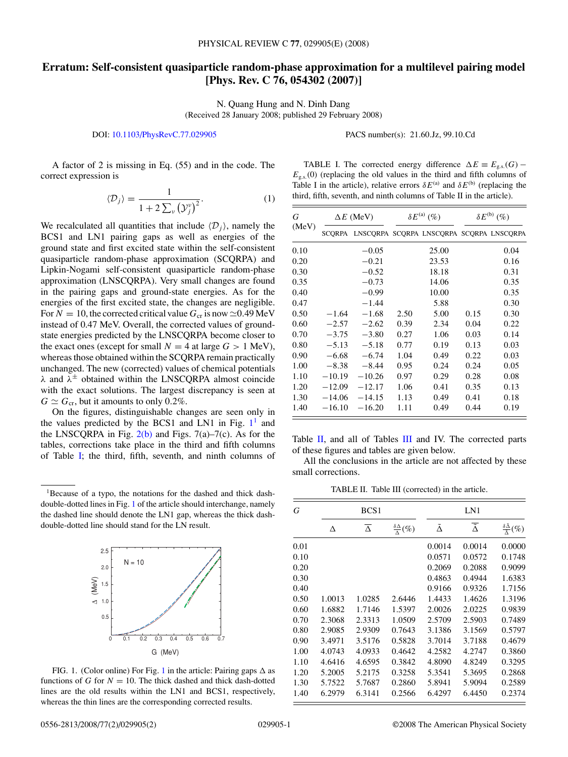## **Erratum: Self-consistent quasiparticle random-phase approximation for a multilevel pairing model [Phys. Rev. C 76, 054302 (2007)]**

N. Quang Hung and N. Dinh Dang (Received 28 January 2008; published 29 February 2008)

## DOI: [10.1103/PhysRevC.77.029905](http://dx.doi.org/10.1103/PhysRevC.77.029905) PACS number(s): 21*.*60*.*Jz, 99*.*10*.*Cd

A factor of 2 is missing in Eq. (55) and in the code. The correct expression is

$$
\langle \mathcal{D}_j \rangle = \frac{1}{1 + 2 \sum_{\nu} (\mathcal{Y}_j^{\nu})^2}.
$$
 (1)

We recalculated all quantities that include  $\langle D_j \rangle$ , namely the BCS1 and LN1 pairing gaps as well as energies of the ground state and first excited state within the self-consistent quasiparticle random-phase approximation (SCQRPA) and Lipkin-Nogami self-consistent quasiparticle random-phase approximation (LNSCQRPA). Very small changes are found in the pairing gaps and ground-state energies. As for the energies of the first excited state, the changes are negligible. For  $N = 10$ , the corrected critical value  $G_{cr}$  is now  $\approx 0.49$  MeV instead of 0.47 MeV. Overall, the corrected values of groundstate energies predicted by the LNSCQRPA become closer to the exact ones (except for small  $N = 4$  at large  $G > 1$  MeV), whereas those obtained within the SCQRPA remain practically unchanged. The new (corrected) values of chemical potentials *λ* and *λ*<sup>±</sup> obtained within the LNSCQRPA almost coincide with the exact solutions. The largest discrepancy is seen at  $G \simeq G_{cr}$ , but it amounts to only 0.2%.

On the figures, distinguishable changes are seen only in the values predicted by the BCS1 and LN1 in Fig.  $1^1$  and the LNSCQRPA in Fig.  $2(b)$  and Figs. 7(a)–7(c). As for the tables, corrections take place in the third and fifth columns of Table I; the third, fifth, seventh, and ninth columns of

<sup>1</sup>Because of a typo, the notations for the dashed and thick dashdouble-dotted lines in Fig. 1 of the article should interchange, namely the dashed line should denote the LN1 gap, whereas the thick dashdouble-dotted line should stand for the LN result.



FIG. 1. (Color online) For Fig. 1 in the article: Pairing gaps  $\Delta$  as functions of *G* for  $N = 10$ . The thick dashed and thick dash-dotted lines are the old results within the LN1 and BCS1, respectively, whereas the thin lines are the corresponding corrected results.

TABLE I. The corrected energy difference  $\Delta E \equiv E_{\text{g.s.}}(G)$  –  $E_{\rm g.s.}(0)$  (replacing the old values in the third and fifth columns of Table I in the article), relative errors  $\delta E^{(a)}$  and  $\delta E^{(b)}$  (replacing the third, fifth, seventh, and ninth columns of Table II in the article).

| G<br>(MeV) | $\Delta E$ (MeV) |                                                 | $\delta E^{(a)}(\%)$ |       | $\delta E^{(b)}(\%)$ |      |
|------------|------------------|-------------------------------------------------|----------------------|-------|----------------------|------|
|            |                  | SCQRPA LNSCQRPA SCQRPA LNSCQRPA SCQRPA LNSCQRPA |                      |       |                      |      |
| 0.10       |                  | $-0.05$                                         |                      | 25.00 |                      | 0.04 |
| 0.20       |                  | $-0.21$                                         |                      | 23.53 |                      | 0.16 |
| 0.30       |                  | $-0.52$                                         |                      | 18.18 |                      | 0.31 |
| 0.35       |                  | $-0.73$                                         |                      | 14.06 |                      | 0.35 |
| 0.40       |                  | $-0.99$                                         |                      | 10.00 |                      | 0.35 |
| 0.47       |                  | $-1.44$                                         |                      | 5.88  |                      | 0.30 |
| 0.50       | $-1.64$          | $-1.68$                                         | 2.50                 | 5.00  | 0.15                 | 0.30 |
| 0.60       | $-2.57$          | $-2.62$                                         | 0.39                 | 2.34  | 0.04                 | 0.22 |
| 0.70       | $-3.75$          | $-3.80$                                         | 0.27                 | 1.06  | 0.03                 | 0.14 |
| 0.80       | $-5.13$          | $-5.18$                                         | 0.77                 | 0.19  | 0.13                 | 0.03 |
| 0.90       | $-6.68$          | $-6.74$                                         | 1.04                 | 0.49  | 0.22                 | 0.03 |
| 1.00       | $-8.38$          | $-8.44$                                         | 0.95                 | 0.24  | 0.24                 | 0.05 |
| 1.10       | $-10.19$         | $-10.26$                                        | 0.97                 | 0.29  | 0.28                 | 0.08 |
| 1.20       | $-12.09$         | $-12.17$                                        | 1.06                 | 0.41  | 0.35                 | 0.13 |
| 1.30       | $-14.06$         | $-14.15$                                        | 1.13                 | 0.49  | 0.41                 | 0.18 |
| 1.40       | $-16.10$         | $-16.20$                                        | 1.11                 | 0.49  | 0.44                 | 0.19 |

Table  $II$ , and all of Tables  $III$  and IV. The corrected parts of these figures and tables are given below.

All the conclusions in the article are not affected by these small corrections.

TABLE II. Table III (corrected) in the article.

| G    |        | BCS <sub>1</sub>    |                                    |        | LN1                         |                                                     |  |  |
|------|--------|---------------------|------------------------------------|--------|-----------------------------|-----------------------------------------------------|--|--|
|      | Δ      | $\overline{\Delta}$ | $\frac{\delta \Delta}{\Delta}$ (%) | Ã      | $\overline{\tilde{\Delta}}$ | $\frac{\delta \tilde{\Delta}}{\tilde{\lambda}}(\%)$ |  |  |
| 0.01 |        |                     |                                    | 0.0014 | 0.0014                      | 0.0000                                              |  |  |
| 0.10 |        |                     |                                    | 0.0571 | 0.0572                      | 0.1748                                              |  |  |
| 0.20 |        |                     |                                    | 0.2069 | 0.2088                      | 0.9099                                              |  |  |
| 0.30 |        |                     |                                    | 0.4863 | 0.4944                      | 1.6383                                              |  |  |
| 0.40 |        |                     |                                    | 0.9166 | 0.9326                      | 1.7156                                              |  |  |
| 0.50 | 1.0013 | 1.0285              | 2.6446                             | 1.4433 | 1.4626                      | 1.3196                                              |  |  |
| 0.60 | 1.6882 | 1.7146              | 1.5397                             | 2.0026 | 2.0225                      | 0.9839                                              |  |  |
| 0.70 | 2.3068 | 2.3313              | 1.0509                             | 2.5709 | 2.5903                      | 0.7489                                              |  |  |
| 0.80 | 2.9085 | 2.9309              | 0.7643                             | 3.1386 | 3.1569                      | 0.5797                                              |  |  |
| 0.90 | 3.4971 | 3.5176              | 0.5828                             | 3.7014 | 3.7188                      | 0.4679                                              |  |  |
| 1.00 | 4.0743 | 4.0933              | 0.4642                             | 4.2582 | 4.2747                      | 0.3860                                              |  |  |
| 1.10 | 4.6416 | 4.6595              | 0.3842                             | 4.8090 | 4.8249                      | 0.3295                                              |  |  |
| 1.20 | 5.2005 | 5.2175              | 0.3258                             | 5.3541 | 5.3695                      | 0.2868                                              |  |  |
| 1.30 | 5.7522 | 5.7687              | 0.2860                             | 5.8941 | 5.9094                      | 0.2589                                              |  |  |
| 1.40 | 6.2979 | 6.3141              | 0.2566                             | 6.4297 | 6.4450                      | 0.2374                                              |  |  |